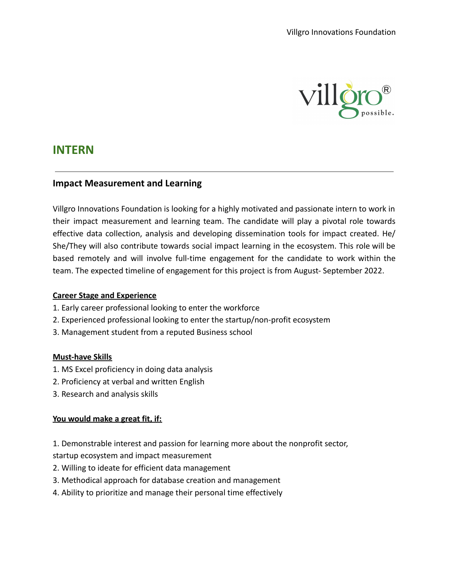

# **INTERN**

## **Impact Measurement and Learning**

Villgro Innovations Foundation is looking for a highly motivated and passionate intern to work in their impact measurement and learning team. The candidate will play a pivotal role towards effective data collection, analysis and developing dissemination tools for impact created. He/ She/They will also contribute towards social impact learning in the ecosystem. This role will be based remotely and will involve full-time engagement for the candidate to work within the team. The expected timeline of engagement for this project is from August- September 2022.

#### **Career Stage and Experience**

- 1. Early career professional looking to enter the workforce
- 2. Experienced professional looking to enter the startup/non-profit ecosystem
- 3. Management student from a reputed Business school

#### **Must-have Skills**

- 1. MS Excel proficiency in doing data analysis
- 2. Proficiency at verbal and written English
- 3. Research and analysis skills

## **You would make a great fit, if:**

- 1. Demonstrable interest and passion for learning more about the nonprofit sector, startup ecosystem and impact measurement
- 2. Willing to ideate for efficient data management
- 3. Methodical approach for database creation and management
- 4. Ability to prioritize and manage their personal time effectively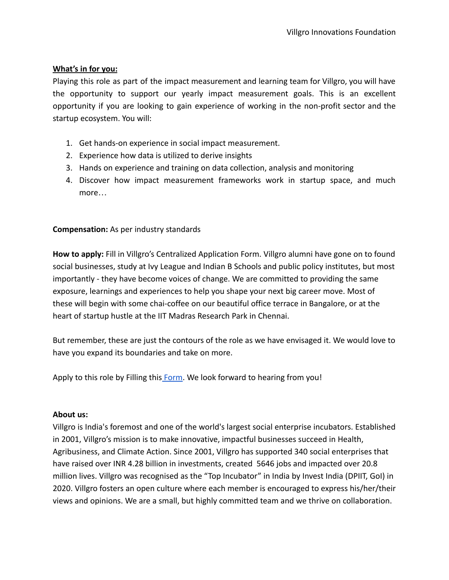### **What's in for you:**

Playing this role as part of the impact measurement and learning team for Villgro, you will have the opportunity to support our yearly impact measurement goals. This is an excellent opportunity if you are looking to gain experience of working in the non-profit sector and the startup ecosystem. You will:

- 1. Get hands-on experience in social impact measurement.
- 2. Experience how data is utilized to derive insights
- 3. Hands on experience and training on data collection, analysis and monitoring
- 4. Discover how impact measurement frameworks work in startup space, and much more…

## **Compensation:** As per industry standards

**How to apply:** Fill in Villgro's Centralized Application Form. Villgro alumni have gone on to found social businesses, study at Ivy League and Indian B Schools and public policy institutes, but most importantly - they have become voices of change. We are committed to providing the same exposure, learnings and experiences to help you shape your next big career move. Most of these will begin with some chai-coffee on our beautiful office terrace in Bangalore, or at the heart of startup hustle at the IIT Madras Research Park in Chennai.

But remember, these are just the contours of the role as we have envisaged it. We would love to have you expand its boundaries and take on more.

Apply to this role by Filling this [Form](https://docs.google.com/forms/d/e/1FAIpQLSfLQb8v34NWZuJG10T7Td-21j7cQw20z6naEPeScYUOKf718w/viewform). We look forward to hearing from you!

#### **About us:**

Villgro is India's foremost and one of the world's largest social enterprise incubators. Established in 2001, Villgro's mission is to make innovative, impactful businesses succeed in Health, Agribusiness, and Climate Action. Since 2001, Villgro has supported 340 social enterprises that have raised over INR 4.28 billion in investments, created 5646 jobs and impacted over 20.8 million lives. Villgro was recognised as the "Top Incubator" in India by Invest India (DPIIT, GoI) in 2020. Villgro fosters an open culture where each member is encouraged to express his/her/their views and opinions. We are a small, but highly committed team and we thrive on collaboration.